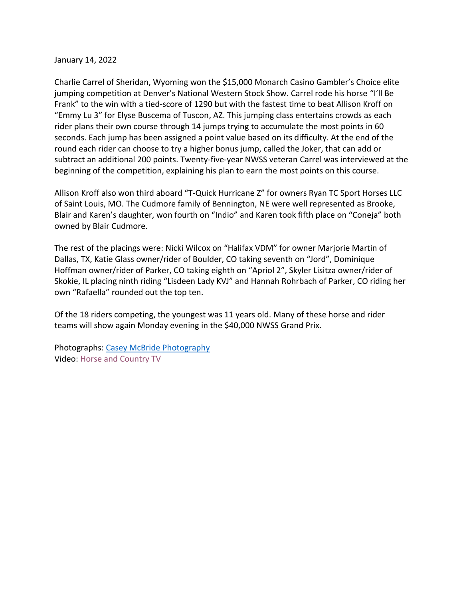## January 14, 2022

Charlie Carrel of Sheridan, Wyoming won the \$15,000 Monarch Casino Gambler's Choice elite jumping competition at Denver's National Western Stock Show. Carrel rode his horse "I'll Be Frank" to the win with a tied-score of 1290 but with the fastest time to beat Allison Kroff on "Emmy Lu 3" for Elyse Buscema of Tuscon, AZ. This jumping class entertains crowds as each rider plans their own course through 14 jumps trying to accumulate the most points in 60 seconds. Each jump has been assigned a point value based on its difficulty. At the end of the round each rider can choose to try a higher bonus jump, called the Joker, that can add or subtract an additional 200 points. Twenty-five-year NWSS veteran Carrel was interviewed at the beginning of the competition, explaining his plan to earn the most points on this course.

Allison Kroff also won third aboard "T-Quick Hurricane Z" for owners Ryan TC Sport Horses LLC of Saint Louis, MO. The Cudmore family of Bennington, NE were well represented as Brooke, Blair and Karen's daughter, won fourth on "Indio" and Karen took fifth place on "Coneja" both owned by Blair Cudmore.

The rest of the placings were: Nicki Wilcox on "Halifax VDM" for owner Marjorie Martin of Dallas, TX, Katie Glass owner/rider of Boulder, CO taking seventh on "Jord", Dominique Hoffman owner/rider of Parker, CO taking eighth on "Apriol 2", Skyler Lisitza owner/rider of Skokie, IL placing ninth riding "Lisdeen Lady KVJ" and Hannah Rohrbach of Parker, CO riding her own "Rafaella" rounded out the top ten.

Of the 18 riders competing, the youngest was 11 years old. Many of these horse and rider teams will show again Monday evening in the \$40,000 NWSS Grand Prix.

Photographs: [Casey McBride Photography](https://caseymcbride.com/) Video: [Horse and Country TV](https://horseandcountry.tv/en-us/)